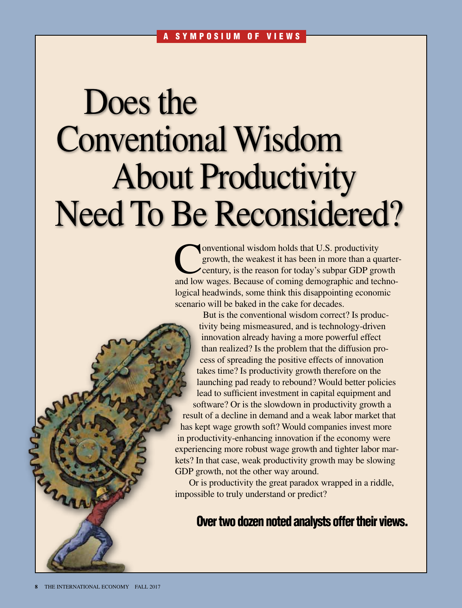# Does the Conventional Wisdom About Productivity Need To Be Reconsidered?

Conventional wisdom holds that U.S. productivity<br>growth, the weakest it has been in more than a que<br>century, is the reason for today's subpar GDP gro growth, the weakest it has been in more than a quartercentury, is the reason for today's subpar GDP growth and low wages. Because of coming demographic and technological headwinds, some think this disappointing economic scenario will be baked in the cake for decades.

But is the conventional wisdom correct? Is productivity being mismeasured, and is technology-driven innovation already having a more powerful effect than realized? Is the problem that the diffusion process of spreading the positive effects of innovation takes time? Is productivity growth therefore on the launching pad ready to rebound? Would better policies lead to sufficient investment in capital equipment and software? Or is the slowdown in productivity growth a result of a decline in demand and a weak labor market that has kept wage growth soft? Would companies invest more in productivity-enhancing innovation if the economy were experiencing more robust wage growth and tighter labor markets? In that case, weak productivity growth may be slowing GDP growth, not the other way around.

Or is productivity the great paradox wrapped in a riddle, impossible to truly understand or predict?

### Over two dozen noted analysts offer their views.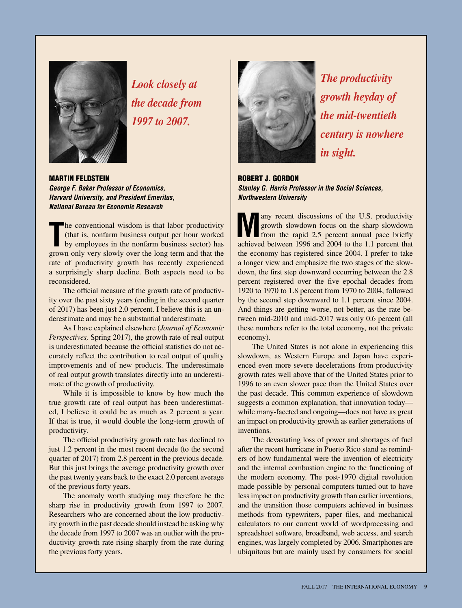

*Look closely at the decade from 1997 to 2007.*

Martin Feldstein *George F. Baker Professor of Economics, Harvard University, and President Emeritus, National Bureau for Economic Research*

The conventional wisdom is that labor productivity<br>
(that is, nonfarm business output per hour worked<br>
by employees in the nonfarm business sector) has<br>
grown only very slowly over the long term and that the he conventional wisdom is that labor productivity (that is, nonfarm business output per hour worked by employees in the nonfarm business sector) has rate of productivity growth has recently experienced a surprisingly sharp decline. Both aspects need to be reconsidered.

The official measure of the growth rate of productivity over the past sixty years (ending in the second quarter of 2017) has been just 2.0 percent. I believe this is an underestimate and may be a substantial underestimate.

As I have explained elsewhere (*Journal of Economic Perspectives,* Spring 2017), the growth rate of real output is underestimated because the official statistics do not accurately reflect the contribution to real output of quality improvements and of new products. The underestimate of real output growth translates directly into an underestimate of the growth of productivity.

While it is impossible to know by how much the true growth rate of real output has been underestimated, I believe it could be as much as 2 percent a year. If that is true, it would double the long-term growth of productivity.

The official productivity growth rate has declined to just 1.2 percent in the most recent decade (to the second quarter of 2017) from 2.8 percent in the previous decade. But this just brings the average productivity growth over the past twenty years back to the exact 2.0 percent average of the previous forty years.

The anomaly worth studying may therefore be the sharp rise in productivity growth from 1997 to 2007. Researchers who are concerned about the low productivity growth in the past decade should instead be asking why the decade from 1997 to 2007 was an outlier with the productivity growth rate rising sharply from the rate during the previous forty years.



*The productivity growth heyday of the mid-twentieth century is nowhere in sight.*

Robert J. Gordon *Stanley G. Harris Professor in the Social Sciences, Northwestern University*

**Many recent discussions of the U.S. productivity**<br>from the rapid 2.5 percent annual pace briefly<br>asking a hattuary 106 and 2004 to the label briefly growth slowdown focus on the sharp slowdown from the rapid 2.5 percent annual pace briefly achieved between 1996 and 2004 to the 1.1 percent that the economy has registered since 2004. I prefer to take a longer view and emphasize the two stages of the slowdown, the first step downward occurring between the 2.8 percent registered over the five epochal decades from 1920 to 1970 to 1.8 percent from 1970 to 2004, followed by the second step downward to 1.1 percent since 2004. And things are getting worse, not better, as the rate between mid-2010 and mid-2017 was only 0.6 percent (all these numbers refer to the total economy, not the private economy).

The United States is not alone in experiencing this slowdown, as Western Europe and Japan have experienced even more severe decelerations from productivity growth rates well above that of the United States prior to 1996 to an even slower pace than the United States over the past decade. This common experience of slowdown suggests a common explanation, that innovation today while many-faceted and ongoing—does not have as great an impact on productivity growth as earlier generations of inventions.

The devastating loss of power and shortages of fuel after the recent hurricane in Puerto Rico stand as reminders of how fundamental were the invention of electricity and the internal combustion engine to the functioning of the modern economy. The post-1970 digital revolution made possible by personal computers turned out to have less impact on productivity growth than earlier inventions, and the transition those computers achieved in business methods from typewriters, paper files, and mechanical calculators to our current world of wordprocessing and spreadsheet software, broadband, web access, and search engines, was largely completed by 2006. Smartphones are ubiquitous but are mainly used by consumers for social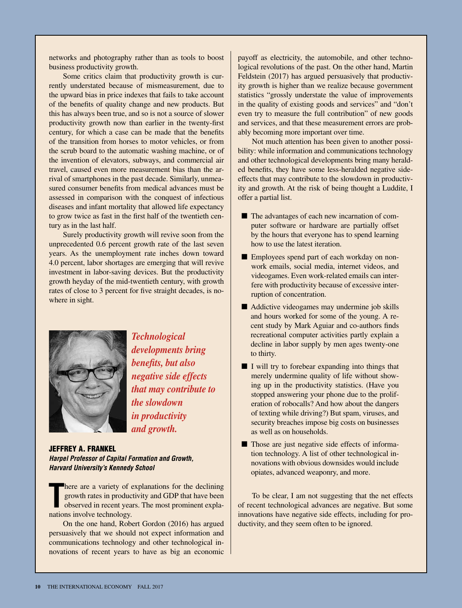networks and photography rather than as tools to boost business productivity growth.

Some critics claim that productivity growth is currently understated because of mismeasurement, due to the upward bias in price indexes that fails to take account of the benefits of quality change and new products. But this has always been true, and so is not a source of slower productivity growth now than earlier in the twenty-first century, for which a case can be made that the benefits of the transition from horses to motor vehicles, or from the scrub board to the automatic washing machine, or of the invention of elevators, subways, and commercial air travel, caused even more measurement bias than the arrival of smartphones in the past decade. Similarly, unmeasured consumer benefits from medical advances must be assessed in comparison with the conquest of infectious diseases and infant mortality that allowed life expectancy to grow twice as fast in the first half of the twentieth century as in the last half.

Surely productivity growth will revive soon from the unprecedented 0.6 percent growth rate of the last seven years. As the unemployment rate inches down toward 4.0 percent, labor shortages are emerging that will revive investment in labor-saving devices. But the productivity growth heyday of the mid-twentieth century, with growth rates of close to 3 percent for five straight decades, is nowhere in sight.



*Technological developments bring benefits, but also negative side effects that may contribute to the slowdown in productivity and growth.*

Jeffrey A. Frankel *Harpel Professor of Capital Formation and Growth, Harvard University's Kennedy School*

There are a variety of e<br>
growth rates in product<br>
observed in recent year<br>
nations involve technology. here are a variety of explanations for the declining growth rates in productivity and GDP that have been observed in recent years. The most prominent expla-

On the one hand, Robert Gordon (2016) has argued persuasively that we should not expect information and communications technology and other technological innovations of recent years to have as big an economic payoff as electricity, the automobile, and other technological revolutions of the past. On the other hand, Martin Feldstein (2017) has argued persuasively that productivity growth is higher than we realize because government statistics "grossly understate the value of improvements in the quality of existing goods and services" and "don't even try to measure the full contribution" of new goods and services, and that these measurement errors are probably becoming more important over time.

Not much attention has been given to another possibility: while information and communications technology and other technological developments bring many heralded benefits, they have some less-heralded negative sideeffects that may contribute to the slowdown in productivity and growth. At the risk of being thought a Luddite, I offer a partial list.

- The advantages of each new incarnation of computer software or hardware are partially offset by the hours that everyone has to spend learning how to use the latest iteration.
- Employees spend part of each workday on nonwork emails, social media, internet videos, and videogames. Even work-related emails can interfere with productivity because of excessive interruption of concentration.
- $\blacksquare$  Addictive videogames may undermine job skills and hours worked for some of the young. A recent study by Mark Aguiar and co-authors finds recreational computer activities partly explain a decline in labor supply by men ages twenty-one to thirty.
- $\blacksquare$  I will try to forebear expanding into things that merely undermine quality of life without showing up in the productivity statistics. (Have you stopped answering your phone due to the proliferation of robocalls? And how about the dangers of texting while driving?) But spam, viruses, and security breaches impose big costs on businesses as well as on households.
- Those are just negative side effects of information technology. A list of other technological innovations with obvious downsides would include opiates, advanced weaponry, and more.

To be clear, I am not suggesting that the net effects of recent technological advances are negative. But some innovations have negative side effects, including for productivity, and they seem often to be ignored.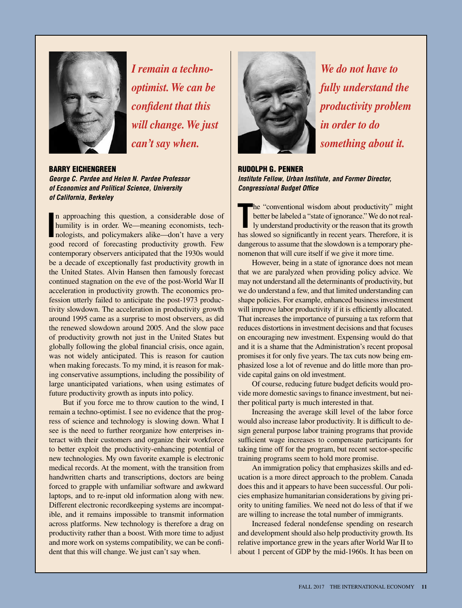

*I remain a technooptimist. We can be confident that this will change. We just can't say when.*

Barry Eichengreen *George C. Pardee and Helen N. Pardee Professor of Economics and Political Science, University of California, Berkeley*

**I** n approaching this question, a considerable dose of humility is in order. We—meaning economists, technologists, and policymakers alike—don't have a very good record of forecasting productivity growth. Few contemporary observers anticipated that the 1930s would be a decade of exceptionally fast productivity growth in the United States. Alvin Hansen then famously forecast continued stagnation on the eve of the post-World War II acceleration in productivity growth. The economics profession utterly failed to anticipate the post-1973 productivity slowdown. The acceleration in productivity growth around 1995 came as a surprise to most observers, as did the renewed slowdown around 2005. And the slow pace of productivity growth not just in the United States but globally following the global financial crisis, once again, was not widely anticipated. This is reason for caution when making forecasts. To my mind, it is reason for making conservative assumptions, including the possibility of large unanticipated variations, when using estimates of future productivity growth as inputs into policy.

But if you force me to throw caution to the wind, I remain a techno-optimist. I see no evidence that the progress of science and technology is slowing down. What I see is the need to further reorganize how enterprises interact with their customers and organize their workforce to better exploit the productivity-enhancing potential of new technologies. My own favorite example is electronic medical records. At the moment, with the transition from handwritten charts and transcriptions, doctors are being forced to grapple with unfamiliar software and awkward laptops, and to re-input old information along with new. Different electronic recordkeeping systems are incompatible, and it remains impossible to transmit information across platforms. New technology is therefore a drag on productivity rather than a boost. With more time to adjust and more work on systems compatibility, we can be confident that this will change. We just can't say when.



*We do not have to fully understand the productivity problem in order to do something about it.*

Rudolph G. Penner *Institute Fellow, Urban Institute, and Former Director, Congressional Budget Office* 

The "conventional wisdom about productivity" might<br>better be labeled a "state of ignorance." We do not real-<br>ly understand productivity or the reason that its growth<br>has slowed so significantly in recent years. Therefore, he "conventional wisdom about productivity" might better be labeled a "state of ignorance." We do not really understand productivity or the reason that its growth dangerous to assume that the slowdown is a temporary phenomenon that will cure itself if we give it more time.

However, being in a state of ignorance does not mean that we are paralyzed when providing policy advice. We may not understand all the determinants of productivity, but we do understand a few, and that limited understanding can shape policies. For example, enhanced business investment will improve labor productivity if it is efficiently allocated. That increases the importance of pursuing a tax reform that reduces distortions in investment decisions and that focuses on encouraging new investment. Expensing would do that and it is a shame that the Administration's recent proposal promises it for only five years. The tax cuts now being emphasized lose a lot of revenue and do little more than provide capital gains on old investment.

Of course, reducing future budget deficits would provide more domestic savings to finance investment, but neither political party is much interested in that.

Increasing the average skill level of the labor force would also increase labor productivity. It is difficult to design general purpose labor training programs that provide sufficient wage increases to compensate participants for taking time off for the program, but recent sector-specific training programs seem to hold more promise.

An immigration policy that emphasizes skills and education is a more direct approach to the problem. Canada does this and it appears to have been successful. Our policies emphasize humanitarian considerations by giving priority to uniting families. We need not do less of that if we are willing to increase the total number of immigrants.

Increased federal nondefense spending on research and development should also help productivity growth. Its relative importance grew in the years after World War II to about 1 percent of GDP by the mid-1960s. It has been on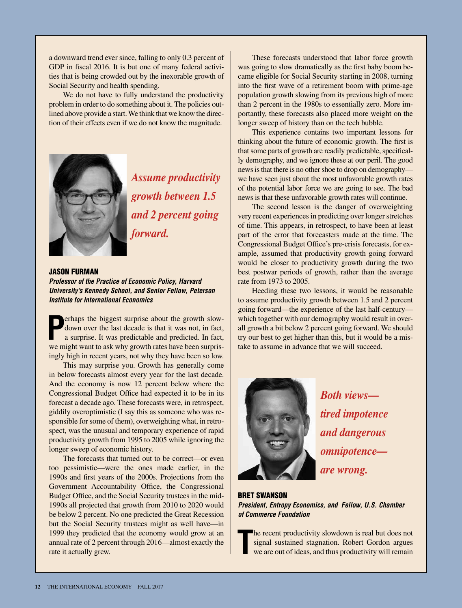a downward trend ever since, falling to only 0.3 percent of GDP in fiscal 2016. It is but one of many federal activities that is being crowded out by the inexorable growth of Social Security and health spending.

We do not have to fully understand the productivity problem in order to do something about it. The policies outlined above provide a start. We think that we know the direction of their effects even if we do not know the magnitude.



*Assume productivity growth between 1.5 and 2 percent going forward.*

#### Jason Furman

*Professor of the Practice of Economic Policy, Harvard University's Kennedy School, and Senior Fellow, Peterson Institute for International Economics*

**P** erhaps the biggest surprise about the growth slowdown over the last decade is that it was not, in fact, a surprise. It was predictable and predicted. In fact, we might want to ask why growth rates have been surprisingly high in recent years, not why they have been so low.

This may surprise you. Growth has generally come in below forecasts almost every year for the last decade. And the economy is now 12 percent below where the Congressional Budget Office had expected it to be in its forecast a decade ago. These forecasts were, in retrospect, giddily overoptimistic (I say this as someone who was responsible for some of them), overweighting what, in retrospect, was the unusual and temporary experience of rapid productivity growth from 1995 to 2005 while ignoring the longer sweep of economic history.

The forecasts that turned out to be correct—or even too pessimistic—were the ones made earlier, in the 1990s and first years of the 2000s. Projections from the Government Accountability Office, the Congressional Budget Office, and the Social Security trustees in the mid-1990s all projected that growth from 2010 to 2020 would be below 2 percent. No one predicted the Great Recession but the Social Security trustees might as well have—in 1999 they predicted that the economy would grow at an annual rate of 2 percent through 2016—almost exactly the rate it actually grew.

These forecasts understood that labor force growth was going to slow dramatically as the first baby boom became eligible for Social Security starting in 2008, turning into the first wave of a retirement boom with prime-age population growth slowing from its previous high of more than 2 percent in the 1980s to essentially zero. More importantly, these forecasts also placed more weight on the longer sweep of history than on the tech bubble.

This experience contains two important lessons for thinking about the future of economic growth. The first is that some parts of growth are readily predictable, specifically demography, and we ignore these at our peril. The good news is that there is no other shoe to drop on demography we have seen just about the most unfavorable growth rates of the potential labor force we are going to see. The bad news is that these unfavorable growth rates will continue.

The second lesson is the danger of overweighting very recent experiences in predicting over longer stretches of time. This appears, in retrospect, to have been at least part of the error that forecasters made at the time. The Congressional Budget Office's pre-crisis forecasts, for example, assumed that productivity growth going forward would be closer to productivity growth during the two best postwar periods of growth, rather than the average rate from 1973 to 2005.

Heeding these two lessons, it would be reasonable to assume productivity growth between 1.5 and 2 percent going forward—the experience of the last half-century which together with our demography would result in overall growth a bit below 2 percent going forward. We should try our best to get higher than this, but it would be a mistake to assume in advance that we will succeed.



*Both views tired impotence and dangerous omnipotence are wrong.*

Bret Swanson *President, Entropy Economics, and Fellow, U.S. Chamber of Commerce Foundation*

**T** he recent productivity slowdown is real but does not signal sustained stagnation. Robert Gordon argues we are out of ideas, and thus productivity will remain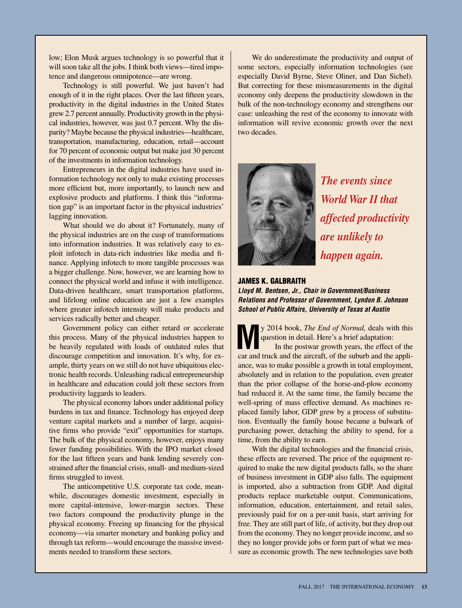low; Elon Musk argues technology is so powerful that it will soon take all the jobs. I think both views—tired impotence and dangerous omnipotence—are wrong.

Technology is still powerful. We just haven't had enough of it in the right places. Over the last fifteen years, productivity in the digital industries in the United States grew 2.7 percent annually. Productivity growth in the physical industries, however, was just 0.7 percent. Why the disparity? Maybe because the physical industries—healthcare, transportation, manufacturing, education, retail—account for 70 percent of economic output but make just 30 percent of the investments in information technology.

Entrepreneurs in the digital industries have used information technology not only to make existing processes more efficient but, more importantly, to launch new and explosive products and platforms. I think this "information gap" is an important factor in the physical industries' lagging innovation.

What should we do about it? Fortunately, many of the physical industries are on the cusp of transformations into information industries. It was relatively easy to exploit infotech in data-rich industries like media and finance. Applying infotech to more tangible processes was a bigger challenge. Now, however, we are learning how to connect the physical world and infuse it with intelligence. Data-driven healthcare, smart transportation platforms, and lifelong online education are just a few examples where greater infotech intensity will make products and services radically better and cheaper.

Government policy can either retard or accelerate this process. Many of the physical industries happen to be heavily regulated with loads of outdated rules that discourage competition and innovation. It's why, for example, thirty years on we still do not have ubiquitous electronic health records. Unleashing radical entrepreneurship in healthcare and education could jolt these sectors from productivity laggards to leaders.

The physical economy labors under additional policy burdens in tax and finance. Technology has enjoyed deep venture capital markets and a number of large, acquisitive firms who provide "exit" opportunities for startups. The bulk of the physical economy, however, enjoys many fewer funding possibilities. With the IPO market closed for the last fifteen years and bank lending severely constrained after the financial crisis, small- and medium-sized firms struggled to invest.

The anticompetitive U.S. corporate tax code, meanwhile, discourages domestic investment, especially in more capital-intensive, lower-margin sectors. These two factors compound the productivity plunge in the physical economy. Freeing up financing for the physical economy—via smarter monetary and banking policy and through tax reform—would encourage the massive investments needed to transform these sectors.

We do underestimate the productivity and output of some sectors, especially information technologies (see especially David Byrne, Steve Oliner, and Dan Sichel). But correcting for these mismeasurements in the digital economy only deepens the productivity slowdown in the bulk of the non-technology economy and strengthens our case: unleashing the rest of the economy to innovate with information will revive economic growth over the next two decades.



*The events since World War II that affected productivity are unlikely to happen again.*

#### James K. Galbraith

*Lloyd M. Bentsen, Jr., Chair in Government/Business Relations and Professor of Government, Lyndon B. Johnson School of Public Affairs, University of Texas at Austin*

**M**y 2014 book, *The End of Normal,* deals with this question in detail. Here's a brief adaptation: In the postwar growth years, the effect of the car and truck and the aircraft, of the suburb and the appliance, was to make possible a growth in total employment, absolutely and in relation to the population, even greater than the prior collapse of the horse-and-plow economy had reduced it. At the same time, the family became the well-spring of mass effective demand. As machines replaced family labor, GDP grew by a process of substitution. Eventually the family house became a bulwark of purchasing power, detaching the ability to spend, for a time, from the ability to earn.

With the digital technologies and the financial crisis, these effects are reversed. The price of the equipment required to make the new digital products falls, so the share of business investment in GDP also falls. The equipment is imported, also a subtraction from GDP. And digital products replace marketable output. Communications, information, education, entertainment, and retail sales, previously paid for on a per-unit basis, start arriving for free. They are still part of life, of activity, but they drop out from the economy. They no longer provide income, and so they no longer provide jobs or form part of what we measure as economic growth. The new technologies save both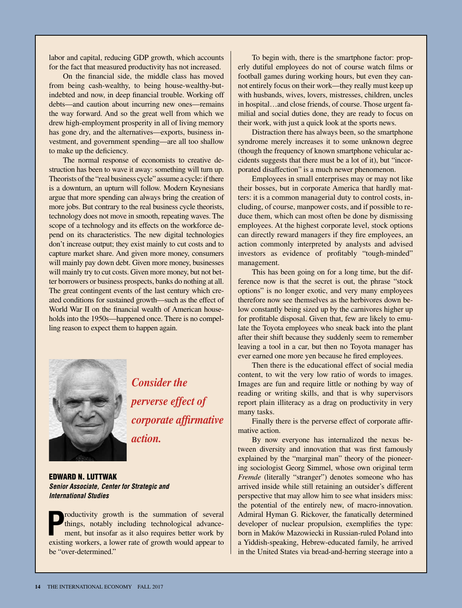labor and capital, reducing GDP growth, which accounts for the fact that measured productivity has not increased.

On the financial side, the middle class has moved from being cash-wealthy, to being house-wealthy-butindebted and now, in deep financial trouble. Working off debts—and caution about incurring new ones—remains the way forward. And so the great well from which we drew high-employment prosperity in all of living memory has gone dry, and the alternatives—exports, business investment, and government spending—are all too shallow to make up the deficiency.

The normal response of economists to creative destruction has been to wave it away: something will turn up. Theorists of the "real business cycle" assume a cycle: if there is a downturn, an upturn will follow. Modern Keynesians argue that more spending can always bring the creation of more jobs. But contrary to the real business cycle theorists, technology does not move in smooth, repeating waves. The scope of a technology and its effects on the workforce depend on its characteristics. The new digital technologies don't increase output; they exist mainly to cut costs and to capture market share. And given more money, consumers will mainly pay down debt. Given more money, businesses will mainly try to cut costs. Given more money, but not better borrowers or business prospects, banks do nothing at all. The great contingent events of the last century which created conditions for sustained growth—such as the effect of World War II on the financial wealth of American households into the 1950s—happened once. There is no compelling reason to expect them to happen again.



*Consider the perverse effect of corporate affirmative action.*

Edward N. Luttwak *Senior Associate, Center for Strategic and International Studies*

**P** roductivity growth is the summation of several things, notably including technological advancement, but insofar as it also requires better work by existing workers, a lower rate of growth would appear to be "over-determined."

To begin with, there is the smartphone factor: properly dutiful employees do not of course watch films or football games during working hours, but even they cannot entirely focus on their work—they really must keep up with husbands, wives, lovers, mistresses, children, uncles in hospital…and close friends, of course. Those urgent familial and social duties done, they are ready to focus on their work, with just a quick look at the sports news.

Distraction there has always been, so the smartphone syndrome merely increases it to some unknown degree (though the frequency of known smartphone vehicular accidents suggests that there must be a lot of it), but "incorporated disaffection" is a much newer phenomenon.

Employees in small enterprises may or may not like their bosses, but in corporate America that hardly matters: it is a common managerial duty to control costs, including, of course, manpower costs, and if possible to reduce them, which can most often be done by dismissing employees. At the highest corporate level, stock options can directly reward managers if they fire employees, an action commonly interpreted by analysts and advised investors as evidence of profitably "tough-minded" management.

This has been going on for a long time, but the difference now is that the secret is out, the phrase "stock options" is no longer exotic, and very many employees therefore now see themselves as the herbivores down below constantly being sized up by the carnivores higher up for profitable disposal. Given that, few are likely to emulate the Toyota employees who sneak back into the plant after their shift because they suddenly seem to remember leaving a tool in a car, but then no Toyota manager has ever earned one more yen because he fired employees.

Then there is the educational effect of social media content, to wit the very low ratio of words to images. Images are fun and require little or nothing by way of reading or writing skills, and that is why supervisors report plain illiteracy as a drag on productivity in very many tasks.

Finally there is the perverse effect of corporate affirmative action.

By now everyone has internalized the nexus between diversity and innovation that was first famously explained by the "marginal man" theory of the pioneering sociologist Georg Simmel, whose own original term *Fremde* (literally "stranger") denotes someone who has arrived inside while still retaining an outsider's different perspective that may allow him to see what insiders miss: the potential of the entirely new, of macro-innovation. Admiral Hyman G. Rickover, the fanatically determined developer of nuclear propulsion, exemplifies the type: born in Maków Mazowiecki in Russian-ruled Poland into a Yiddish-speaking, Hebrew-educated family, he arrived in the United States via bread-and-herring steerage into a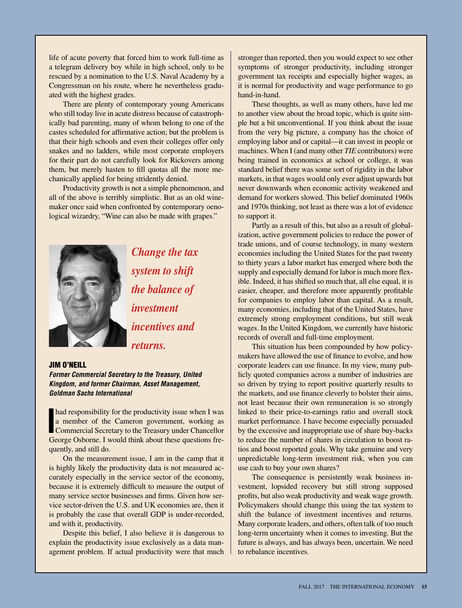life of acute poverty that forced him to work full-time as a telegram delivery boy while in high school, only to be rescued by a nomination to the U.S. Naval Academy by a Congressman on his route, where he nevertheless graduated with the highest grades.

There are plenty of contemporary young Americans who still today live in acute distress because of catastrophically bad parenting, many of whom belong to one of the castes scheduled for affirmative action; but the problem is that their high schools and even their colleges offer only snakes and no ladders, while most corporate employers for their part do not carefully look for Rickovers among them, but merely hasten to fill quotas all the more mechanically applied for being stridently denied.

Productivity growth is not a simple phenomenon, and all of the above is terribly simplistic. But as an old winemaker once said when confronted by contemporary oenological wizardry, "Wine can also be made with grapes."



*Change the tax system to shift the balance of investment incentives and returns.*

#### Jim O'Neill

*Former Commercial Secretary to the Treasury, United Kingdom, and former Chairman, Asset Management, Goldman Sachs International*

**I had responsibility for the productivity issue when I was**<br> **a** member of the Cameron government, working as<br> **Commercial Secretary to the Treasury under Chancellor**<br> **Caggage Chancel Secretary Lucy of thirds** beyond the a member of the Cameron government, working as George Osborne. I would think about these questions frequently, and still do.

On the measurement issue, I am in the camp that it is highly likely the productivity data is not measured accurately especially in the service sector of the economy, because it is extremely difficult to measure the output of many service sector businesses and firms. Given how service sector-driven the U.S. and UK economies are, then it is probably the case that overall GDP is under-recorded, and with it, productivity.

Despite this belief, I also believe it is dangerous to explain the productivity issue exclusively as a data management problem. If actual productivity were that much

stronger than reported, then you would expect to see other symptoms of stronger productivity, including stronger government tax receipts and especially higher wages, as it is normal for productivity and wage performance to go hand-in-hand.

These thoughts, as well as many others, have led me to another view about the broad topic, which is quite simple but a bit unconventional. If you think about the issue from the very big picture, a company has the choice of employing labor and or capital—it can invest in people or machines. When I (and many other *TIE* contributors) were being trained in economics at school or college, it was standard belief there was some sort of rigidity in the labor markets, in that wages would only ever adjust upwards but never downwards when economic activity weakened and demand for workers slowed. This belief dominated 1960s and 1970s thinking, not least as there was a lot of evidence to support it.

Partly as a result of this, but also as a result of globalization, active government policies to reduce the power of trade unions, and of course technology, in many western economies including the United States for the past twenty to thirty years a labor market has emerged where both the supply and especially demand for labor is much more flexible. Indeed, it has shifted so much that, all else equal, it is easier, cheaper, and therefore more apparently profitable for companies to employ labor than capital. As a result, many economies, including that of the United States, have extremely strong employment conditions, but still weak wages. In the United Kingdom, we currently have historic records of overall and full-time employment.

This situation has been compounded by how policymakers have allowed the use of finance to evolve, and how corporate leaders can use finance. In my view, many publicly quoted companies across a number of industries are so driven by trying to report positive quarterly results to the markets, and use finance cleverly to bolster their aims, not least because their own remuneration is so strongly linked to their price-to-earnings ratio and overall stock market performance. I have become especially persuaded by the excessive and inappropriate use of share buy-backs to reduce the number of shares in circulation to boost ratios and boost reported goals. Why take genuine and very unpredictable long-term investment risk, when you can use cash to buy your own shares?

The consequence is persistently weak business investment, lopsided recovery but still strong supposed profits, but also weak productivity and weak wage growth. Policymakers should change this using the tax system to shift the balance of investment incentives and returns. Many corporate leaders, and others, often talk of too much long-term uncertainty when it comes to investing. But the future is always, and has always been, uncertain. We need to rebalance incentives.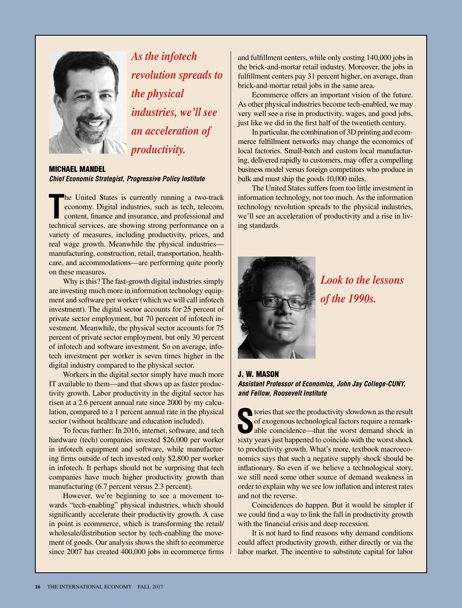

*As the infotech revolution spreads to the physical industries, we'll see an acceleration of productivity.*

#### Michael Mandel *Chief Economic Strategist, Progressive Policy Institute*

The United States is currently running a two-track economy. Digital industries, such as tech, telecom, content, finance and insurance, and professional and technical services, are showing strong performance on a he United States is currently running a two-track economy. Digital industries, such as tech, telecom, content, finance and insurance, and professional and variety of measures, including productivity, prices, and real wage growth. Meanwhile the physical industries manufacturing, construction, retail, transportation, healthcare, and accommodations—are performing quite poorly on these measures.

Why is this? The fast-growth digital industries simply are investing much more in information technology equipment and software per worker (which we will call infotech investment). The digital sector accounts for 25 percent of private sector employment, but 70 percent of infotech investment. Meanwhile, the physical sector accounts for 75 percent of private sector employment, but only 30 percent of infotech and software investment. So on average, infotech investment per worker is seven times higher in the digital industry compared to the physical sector.

Workers in the digital sector simply have much more IT available to them—and that shows up as faster productivity growth. Labor productivity in the digital sector has risen at a 2.6 percent annual rate since 2000 by my calculation, compared to a 1 percent annual rate in the physical sector (without healthcare and education included).

To focus further: In 2016, internet, software, and tech hardware (tech) companies invested \$26,000 per worker in infotech equipment and software, while manufacturing firms outside of tech invested only \$2,800 per worker in infotech. It perhaps should not be surprising that tech companies have much higher productivity growth than manufacturing (6.7 percent versus 2.3 percent).

However, we're beginning to see a movement towards "tech-enabling" physical industries, which should significantly accelerate their productivity growth. A case in point is ecommerce, which is transforming the retail/ wholesale/distribution sector by tech-enabling the movement of goods. Our analysis shows the shift to ecommerce since 2007 has created 400,000 jobs in ecommerce firms and fulfillment centers, while only costing 140,000 jobs in the brick-and-mortar retail industry. Moreover, the jobs in fulfillment centers pay 31 percent higher, on average, than brick-and-mortar retail jobs in the same area.

Ecommerce offers an important vision of the future. As other physical industries become tech-enabled, we may very well see a rise in productivity, wages, and good jobs, just like we did in the first half of the twentieth century.

In particular, the combination of 3D printing and ecommerce fulfillment networks may change the economics of local factories. Small-batch and custom local manufacturing, delivered rapidly to customers, may offer a compelling business model versus foreign competitors who produce in bulk and must ship the goods 10,000 miles.

The United States suffers from too little investment in information technology, not too much. As the information technology revolution spreads to the physical industries, we'll see an acceleration of productivity and a rise in living standards.



*Look to the lessons of the 1990s.*

J. W. Mason *Assistant Professor of Economics, John Jay College-CUNY, and Fellow, Roosevelt Institute*

stories that see the productivity slowdown as the result<br>of exogenous technological factors require a remark-<br>able coincidence—that the worst demand shock in of exogenous technological factors require a remarkable coincidence—that the worst demand shock in sixty years just happened to coincide with the worst shock to productivity growth. What's more, textbook macroeconomics says that such a negative supply shock should be inflationary. So even if we believe a technological story, we still need some other source of demand weakness in order to explain why we see low inflation and interest rates and not the reverse.

Coincidences do happen. But it would be simpler if we could find a way to link the fall in productivity growth with the financial crisis and deep recession.

It is not hard to find reasons why demand conditions could affect productivity growth, either directly or via the labor market. The incentive to substitute capital for labor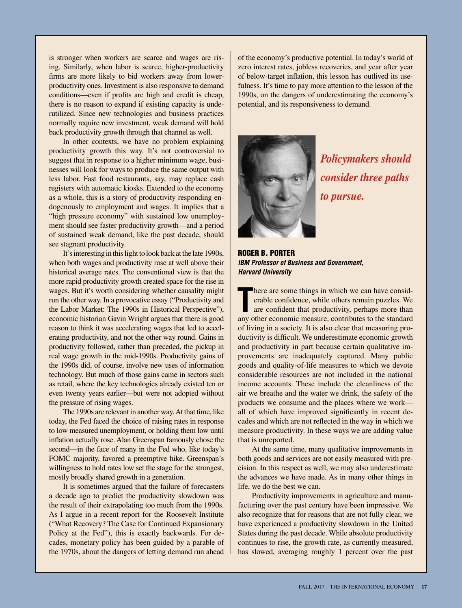is stronger when workers are scarce and wages are rising. Similarly, when labor is scarce, higher-productivity firms are more likely to bid workers away from lowerproductivity ones. Investment is also responsive to demand conditions—even if profits are high and credit is cheap, there is no reason to expand if existing capacity is underutilized. Since new technologies and business practices normally require new investment, weak demand will hold back productivity growth through that channel as well.

In other contexts, we have no problem explaining productivity growth this way. It's not controversial to suggest that in response to a higher minimum wage, businesses will look for ways to produce the same output with less labor. Fast food restaurants, say, may replace cash registers with automatic kiosks. Extended to the economy as a whole, this is a story of productivity responding endogenously to employment and wages. It implies that a "high pressure economy" with sustained low unemployment should see faster productivity growth—and a period of sustained weak demand, like the past decade, should see stagnant productivity.

It's interesting in this light to look back at the late 1990s, when both wages and productivity rose at well above their historical average rates. The conventional view is that the more rapid productivity growth created space for the rise in wages. But it's worth considering whether causality might run the other way. In a provocative essay ("Productivity and the Labor Market: The 1990s in Historical Perspective"), economic historian Gavin Wright argues that there is good reason to think it was accelerating wages that led to accelerating productivity, and not the other way round. Gains in productivity followed, rather than preceded, the pickup in real wage growth in the mid-1990s. Productivity gains of the 1990s did, of course, involve new uses of information technology. But much of those gains came in sectors such as retail, where the key technologies already existed ten or even twenty years earlier—but were not adopted without the pressure of rising wages.

The 1990s are relevant in another way. At that time, like today, the Fed faced the choice of raising rates in response to low measured unemployment, or holding them low until inflation actually rose. Alan Greenspan famously chose the second—in the face of many in the Fed who, like today's FOMC majority, favored a preemptive hike. Greenspan's willingness to hold rates low set the stage for the strongest, mostly broadly shared growth in a generation.

It is sometimes argued that the failure of forecasters a decade ago to predict the productivity slowdown was the result of their extrapolating too much from the 1990s. As I argue in a recent report for the Roosevelt Institute ("What Recovery? The Case for Continued Expansionary Policy at the Fed"), this is exactly backwards. For decades, monetary policy has been guided by a parable of the 1970s, about the dangers of letting demand run ahead of the economy's productive potential. In today's world of zero interest rates, jobless recoveries, and year after year of below-target inflation, this lesson has outlived its usefulness. It's time to pay more attention to the lesson of the 1990s, on the dangers of underestimating the economy's potential, and its responsiveness to demand.



*Policymakers should consider three paths to pursue.*

Roger B. Porter *IBM Professor of Business and Government, Harvard University*

There are some things in which we can have considerable confidence, while others remain puzzles. We are confident that productivity, perhaps more than any other economic measure, contributes to the standard here are some things in which we can have considerable confidence, while others remain puzzles. We are confident that productivity, perhaps more than of living in a society. It is also clear that measuring productivity is difficult. We underestimate economic growth and productivity in part because certain qualitative improvements are inadequately captured. Many public goods and quality-of-life measures to which we devote considerable resources are not included in the national income accounts. These include the cleanliness of the air we breathe and the water we drink, the safety of the products we consume and the places where we work all of which have improved significantly in recent decades and which are not reflected in the way in which we measure productivity. In these ways we are adding value that is unreported.

At the same time, many qualitative improvements in both goods and services are not easily measured with precision. In this respect as well, we may also underestimate the advances we have made. As in many other things in life, we do the best we can.

Productivity improvements in agriculture and manufacturing over the past century have been impressive. We also recognize that for reasons that are not fully clear, we have experienced a productivity slowdown in the United States during the past decade. While absolute productivity continues to rise, the growth rate, as currently measured, has slowed, averaging roughly 1 percent over the past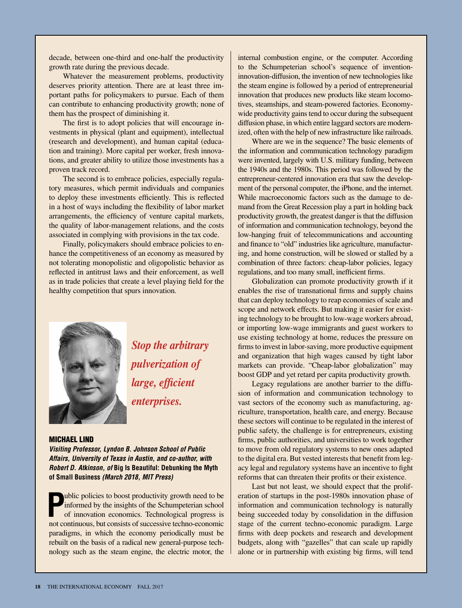decade, between one-third and one-half the productivity growth rate during the previous decade.

Whatever the measurement problems, productivity deserves priority attention. There are at least three important paths for policymakers to pursue. Each of them can contribute to enhancing productivity growth; none of them has the prospect of diminishing it.

The first is to adopt policies that will encourage investments in physical (plant and equipment), intellectual (research and development), and human capital (education and training). More capital per worker, fresh innovations, and greater ability to utilize those investments has a proven track record.

The second is to embrace policies, especially regulatory measures, which permit individuals and companies to deploy these investments efficiently. This is reflected in a host of ways including the flexibility of labor market arrangements, the efficiency of venture capital markets, the quality of labor-management relations, and the costs associated in complying with provisions in the tax code.

Finally, policymakers should embrace policies to enhance the competitiveness of an economy as measured by not tolerating monopolistic and oligopolistic behavior as reflected in antitrust laws and their enforcement, as well as in trade policies that create a level playing field for the healthy competition that spurs innovation.



*Stop the arbitrary pulverization of large, efficient enterprises.*

#### Michael Lind

*Visiting Professor, Lyndon B. Johnson School of Public Affairs, University of Texas in Austin, and co-author, with Robert D. Atkinson, of* **Big Is Beautiful: Debunking the Myth of Small Business** *(March 2018, MIT Press)*

**P** ublic policies to boost productivity growth need to be informed by the insights of the Schumpeterian school of innovation economics. Technological progress is not continuous, but consists of successive techno-economic paradigms, in which the economy periodically must be rebuilt on the basis of a radical new general-purpose technology such as the steam engine, the electric motor, the internal combustion engine, or the computer. According to the Schumpeterian school's sequence of inventioninnovation-diffusion, the invention of new technologies like the steam engine is followed by a period of entrepreneurial innovation that produces new products like steam locomotives, steamships, and steam-powered factories. Economywide productivity gains tend to occur during the subsequent diffusion phase, in which entire laggard sectors are modernized, often with the help of new infrastructure like railroads.

Where are we in the sequence? The basic elements of the information and communication technology paradigm were invented, largely with U.S. military funding, between the 1940s and the 1980s. This period was followed by the entrepreneur-centered innovation era that saw the development of the personal computer, the iPhone, and the internet. While macroeconomic factors such as the damage to demand from the Great Recession play a part in holding back productivity growth, the greatest danger is that the diffusion of information and communication technology, beyond the low-hanging fruit of telecommunications and accounting and finance to "old" industries like agriculture, manufacturing, and home construction, will be slowed or stalled by a combination of three factors: cheap-labor policies, legacy regulations, and too many small, inefficient firms.

Globalization can promote productivity growth if it enables the rise of transnational firms and supply chains that can deploy technology to reap economies of scale and scope and network effects. But making it easier for existing technology to be brought to low-wage workers abroad, or importing low-wage immigrants and guest workers to use existing technology at home, reduces the pressure on firms to invest in labor-saving, more productive equipment and organization that high wages caused by tight labor markets can provide. "Cheap-labor globalization" may boost GDP and yet retard per capita productivity growth.

Legacy regulations are another barrier to the diffusion of information and communication technology to vast sectors of the economy such as manufacturing, agriculture, transportation, health care, and energy. Because these sectors will continue to be regulated in the interest of public safety, the challenge is for entrepreneurs, existing firms, public authorities, and universities to work together to move from old regulatory systems to new ones adapted to the digital era. But vested interests that benefit from legacy legal and regulatory systems have an incentive to fight reforms that can threaten their profits or their existence.

Last but not least, we should expect that the proliferation of startups in the post-1980s innovation phase of information and communication technology is naturally being succeeded today by consolidation in the diffusion stage of the current techno-economic paradigm. Large firms with deep pockets and research and development budgets, along with "gazelles" that can scale up rapidly alone or in partnership with existing big firms, will tend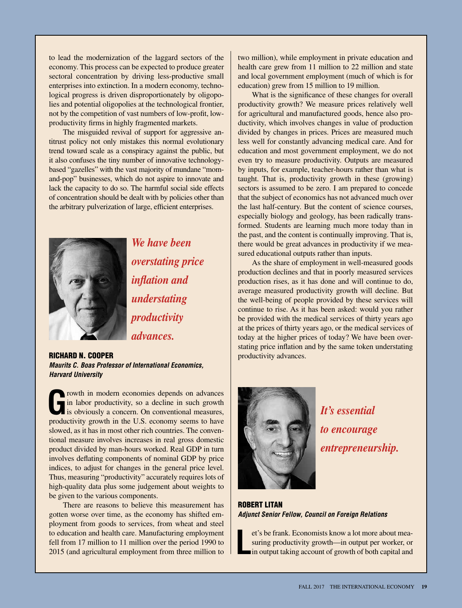to lead the modernization of the laggard sectors of the economy. This process can be expected to produce greater sectoral concentration by driving less-productive small enterprises into extinction. In a modern economy, technological progress is driven disproportionately by oligopolies and potential oligopolies at the technological frontier, not by the competition of vast numbers of low-profit, lowproductivity firms in highly fragmented markets.

The misguided revival of support for aggressive antitrust policy not only mistakes this normal evolutionary trend toward scale as a conspiracy against the public, but it also confuses the tiny number of innovative technologybased "gazelles" with the vast majority of mundane "momand-pop" businesses, which do not aspire to innovate and lack the capacity to do so. The harmful social side effects of concentration should be dealt with by policies other than the arbitrary pulverization of large, efficient enterprises.



*overstating price inflation and understating productivity advances.*

*We have been* 

Richard N. Cooper *Maurits C. Boas Professor of International Economics, Harvard University*

rowth in modern economies depends on advances in labor productivity, so a decline in such growth is obviously a concern. On conventional measures, productivity growth in the U.S. economy seems to have slowed, as it has in most other rich countries. The conventional measure involves increases in real gross domestic product divided by man-hours worked. Real GDP in turn involves deflating components of nominal GDP by price indices, to adjust for changes in the general price level. Thus, measuring "productivity" accurately requires lots of high-quality data plus some judgement about weights to be given to the various components.

There are reasons to believe this measurement has gotten worse over time, as the economy has shifted employment from goods to services, from wheat and steel to education and health care. Manufacturing employment fell from 17 million to 11 million over the period 1990 to 2015 (and agricultural employment from three million to

two million), while employment in private education and health care grew from 11 million to 22 million and state and local government employment (much of which is for education) grew from 15 million to 19 million.

What is the significance of these changes for overall productivity growth? We measure prices relatively well for agricultural and manufactured goods, hence also productivity, which involves changes in value of production divided by changes in prices. Prices are measured much less well for constantly advancing medical care. And for education and most government employment, we do not even try to measure productivity. Outputs are measured by inputs, for example, teacher-hours rather than what is taught. That is, productivity growth in these (growing) sectors is assumed to be zero. I am prepared to concede that the subject of economics has not advanced much over the last half-century. But the content of science courses, especially biology and geology, has been radically transformed. Students are learning much more today than in the past, and the content is continually improving. That is, there would be great advances in productivity if we measured educational outputs rather than inputs.

As the share of employment in well-measured goods production declines and that in poorly measured services production rises, as it has done and will continue to do, average measured productivity growth will decline. But the well-being of people provided by these services will continue to rise. As it has been asked: would you rather be provided with the medical services of thirty years ago at the prices of thirty years ago, or the medical services of today at the higher prices of today? We have been overstating price inflation and by the same token understating productivity advances.



*It's essential to encourage entrepreneurship.*

Robert Litan *Adjunct Senior Fellow, Council on Foreign Relations*

**L** et's be frank. Economists know a lot more about measuring productivity growth—in output per worker, or in output taking account of growth of both capital and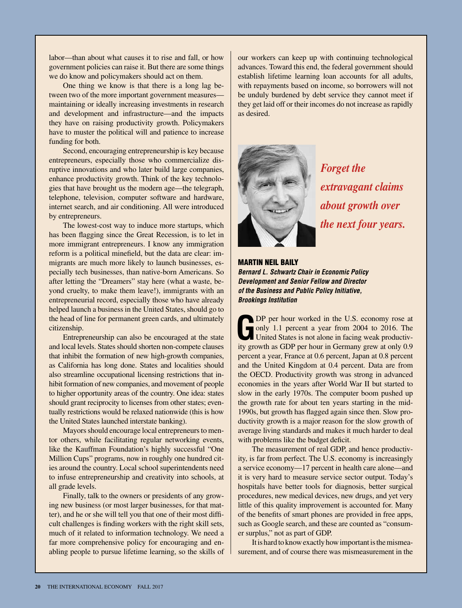labor—than about what causes it to rise and fall, or how government policies can raise it. But there are some things we do know and policymakers should act on them.

One thing we know is that there is a long lag between two of the more important government measures maintaining or ideally increasing investments in research and development and infrastructure—and the impacts they have on raising productivity growth. Policymakers have to muster the political will and patience to increase funding for both.

Second, encouraging entrepreneurship is key because entrepreneurs, especially those who commercialize disruptive innovations and who later build large companies, enhance productivity growth. Think of the key technologies that have brought us the modern age—the telegraph, telephone, television, computer software and hardware, internet search, and air conditioning. All were introduced by entrepreneurs.

The lowest-cost way to induce more startups, which has been flagging since the Great Recession, is to let in more immigrant entrepreneurs. I know any immigration reform is a political minefield, but the data are clear: immigrants are much more likely to launch businesses, especially tech businesses, than native-born Americans. So after letting the "Dreamers" stay here (what a waste, beyond cruelty, to make them leave!), immigrants with an entrepreneurial record, especially those who have already helped launch a business in the United States, should go to the head of line for permanent green cards, and ultimately citizenship.

Entrepreneurship can also be encouraged at the state and local levels. States should shorten non-compete clauses that inhibit the formation of new high-growth companies, as California has long done. States and localities should also streamline occupational licensing restrictions that inhibit formation of new companies, and movement of people to higher opportunity areas of the country. One idea: states should grant reciprocity to licenses from other states; eventually restrictions would be relaxed nationwide (this is how the United States launched interstate banking).

Mayors should encourage local entrepreneurs to mentor others, while facilitating regular networking events, like the Kauffman Foundation's highly successful "One Million Cups" programs, now in roughly one hundred cities around the country. Local school superintendents need to infuse entrepreneurship and creativity into schools, at all grade levels.

Finally, talk to the owners or presidents of any growing new business (or most larger businesses, for that matter), and he or she will tell you that one of their most difficult challenges is finding workers with the right skill sets, much of it related to information technology. We need a far more comprehensive policy for encouraging and enabling people to pursue lifetime learning, so the skills of our workers can keep up with continuing technological advances. Toward this end, the federal government should establish lifetime learning loan accounts for all adults, with repayments based on income, so borrowers will not be unduly burdened by debt service they cannot meet if they get laid off or their incomes do not increase as rapidly as desired.



*Forget the extravagant claims about growth over the next four years.* 

#### Martin Neil Baily

*Bernard L. Schwartz Chair in Economic Policy Development and Senior Fellow and Director of the Business and Public Policy Initiative, Brookings Institution*

**G**DP per hour worked in the U.S. economy rose at only 1.1 percent a year from 2004 to 2016. The United States is not alone in facing weak productivity and the state of the state of the state of the state of the state of t only 1.1 percent a year from 2004 to 2016. The United States is not alone in facing weak productivity growth as GDP per hour in Germany grew at only 0.9 percent a year, France at 0.6 percent, Japan at 0.8 percent and the United Kingdom at 0.4 percent. Data are from the OECD. Productivity growth was strong in advanced economies in the years after World War II but started to slow in the early 1970s. The computer boom pushed up the growth rate for about ten years starting in the mid-1990s, but growth has flagged again since then. Slow productivity growth is a major reason for the slow growth of average living standards and makes it much harder to deal with problems like the budget deficit.

The measurement of real GDP, and hence productivity, is far from perfect. The U.S. economy is increasingly a service economy—17 percent in health care alone—and it is very hard to measure service sector output. Today's hospitals have better tools for diagnosis, better surgical procedures, new medical devices, new drugs, and yet very little of this quality improvement is accounted for. Many of the benefits of smart phones are provided in free apps, such as Google search, and these are counted as "consumer surplus," not as part of GDP.

It is hard to know exactly how important is the mismeasurement, and of course there was mismeasurement in the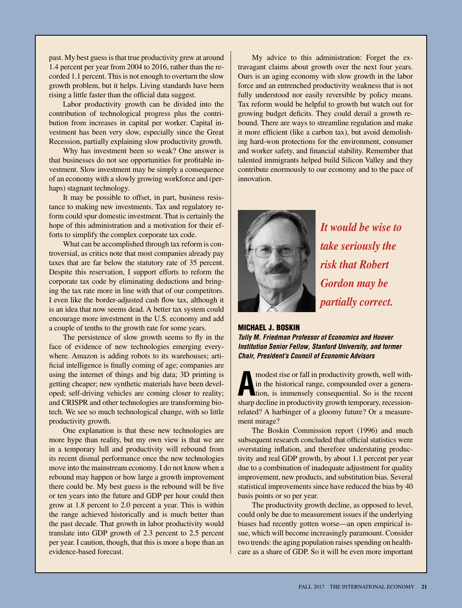past. My best guess is that true productivity grew at around 1.4 percent per year from 2004 to 2016, rather than the recorded 1.1 percent. This is not enough to overturn the slow growth problem, but it helps. Living standards have been rising a little faster than the official data suggest.

Labor productivity growth can be divided into the contribution of technological progress plus the contribution from increases in capital per worker. Capital investment has been very slow, especially since the Great Recession, partially explaining slow productivity growth.

Why has investment been so weak? One answer is that businesses do not see opportunities for profitable investment. Slow investment may be simply a consequence of an economy with a slowly growing workforce and (perhaps) stagnant technology.

It may be possible to offset, in part, business resistance to making new investments. Tax and regulatory reform could spur domestic investment. That is certainly the hope of this administration and a motivation for their efforts to simplify the complex corporate tax code.

What can be accomplished through tax reform is controversial, as critics note that most companies already pay taxes that are far below the statutory rate of 35 percent. Despite this reservation, I support efforts to reform the corporate tax code by eliminating deductions and bringing the tax rate more in line with that of our competitors. I even like the border-adjusted cash flow tax, although it is an idea that now seems dead. A better tax system could encourage more investment in the U.S. economy and add a couple of tenths to the growth rate for some years.

The persistence of slow growth seems to fly in the face of evidence of new technologies emerging everywhere. Amazon is adding robots to its warehouses; artificial intelligence is finally coming of age; companies are using the internet of things and big data; 3D printing is getting cheaper; new synthetic materials have been developed; self-driving vehicles are coming closer to reality; and CRISPR and other technologies are transforming biotech. We see so much technological change, with so little productivity growth.

One explanation is that these new technologies are more hype than reality, but my own view is that we are in a temporary lull and productivity will rebound from its recent dismal performance once the new technologies move into the mainstream economy. I do not know when a rebound may happen or how large a growth improvement there could be. My best guess is the rebound will be five or ten years into the future and GDP per hour could then grow at 1.8 percent to 2.0 percent a year. This is within the range achieved historically and is much better than the past decade. That growth in labor productivity would translate into GDP growth of 2.3 percent to 2.5 percent per year. I caution, though, that this is more a hope than an evidence-based forecast.

My advice to this administration: Forget the extravagant claims about growth over the next four years. Ours is an aging economy with slow growth in the labor force and an entrenched productivity weakness that is not fully understood nor easily reversible by policy means. Tax reform would be helpful to growth but watch out for growing budget deficits. They could derail a growth rebound. There are ways to streamline regulation and make it more efficient (like a carbon tax), but avoid demolishing hard-won protections for the environment, consumer and worker safety, and financial stability. Remember that talented immigrants helped build Silicon Valley and they contribute enormously to our economy and to the pace of innovation.



*It would be wise to take seriously the risk that Robert Gordon may be partially correct.*

#### Michael J. Boskin

*Tully M. Friedman Professor of Economics and Hoover Institution Senior Fellow, Stanford University, and former Chair, President's Council of Economic Advisors*

**A** modest rise or fall in productivity growth, well with-<br>in the historical range, compounded over a genera-<br>tion, is immensely consequential. So is the recent<br>characteristic and also in productivity equation in the historical range, compounded over a generasharp decline in productivity growth temporary, recessionrelated? A harbinger of a gloomy future? Or a measurement mirage?

The Boskin Commission report (1996) and much subsequent research concluded that official statistics were overstating inflation, and therefore understating productivity and real GDP growth, by about 1.1 percent per year due to a combination of inadequate adjustment for quality improvement, new products, and substitution bias. Several statistical improvements since have reduced the bias by 40 basis points or so per year.

The productivity growth decline, as opposed to level, could only be due to measurement issues if the underlying biases had recently gotten worse—an open empirical issue, which will become increasingly paramount. Consider two trends: the aging population raises spending on healthcare as a share of GDP. So it will be even more important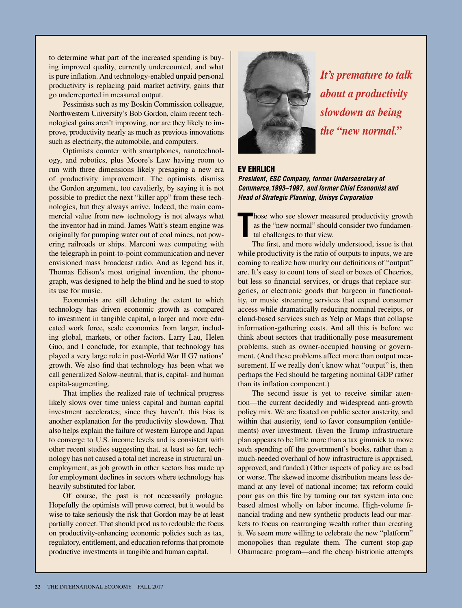to determine what part of the increased spending is buying improved quality, currently undercounted, and what is pure inflation. And technology-enabled unpaid personal productivity is replacing paid market activity, gains that go underreported in measured output.

Pessimists such as my Boskin Commission colleague, Northwestern University's Bob Gordon, claim recent technological gains aren't improving, nor are they likely to improve, productivity nearly as much as previous innovations such as electricity, the automobile, and computers.

Optimists counter with smartphones, nanotechnology, and robotics, plus Moore's Law having room to run with three dimensions likely presaging a new era of productivity improvement. The optimists dismiss the Gordon argument, too cavalierly, by saying it is not possible to predict the next "killer app" from these technologies, but they always arrive. Indeed, the main commercial value from new technology is not always what the inventor had in mind. James Watt's steam engine was originally for pumping water out of coal mines, not powering railroads or ships. Marconi was competing with the telegraph in point-to-point communication and never envisioned mass broadcast radio. And as legend has it, Thomas Edison's most original invention, the phonograph, was designed to help the blind and he sued to stop its use for music.

Economists are still debating the extent to which technology has driven economic growth as compared to investment in tangible capital, a larger and more educated work force, scale economies from larger, including global, markets, or other factors. Larry Lau, Helen Guo, and I conclude, for example, that technology has played a very large role in post-World War II G7 nations' growth. We also find that technology has been what we call generalized Solow-neutral, that is, capital- and human capital-augmenting.

That implies the realized rate of technical progress likely slows over time unless capital and human capital investment accelerates; since they haven't, this bias is another explanation for the productivity slowdown. That also helps explain the failure of western Europe and Japan to converge to U.S. income levels and is consistent with other recent studies suggesting that, at least so far, technology has not caused a total net increase in structural unemployment, as job growth in other sectors has made up for employment declines in sectors where technology has heavily substituted for labor.

Of course, the past is not necessarily prologue. Hopefully the optimists will prove correct, but it would be wise to take seriously the risk that Gordon may be at least partially correct. That should prod us to redouble the focus on productivity-enhancing economic policies such as tax, regulatory, entitlement, and education reforms that promote productive investments in tangible and human capital.



*It's premature to talk about a productivity slowdown as being the "new normal."*

#### EV EHRLICH

*President, ESC Company, former Undersecretary of Commerce,1993–1997, and former Chief Economist and Head of Strategic Planning, Unisys Corporation*

**T** hose who see slower measured productivity growth as the "new normal" should consider two fundamental challenges to that view.

The first, and more widely understood, issue is that while productivity is the ratio of outputs to inputs, we are coming to realize how murky our definitions of "output" are. It's easy to count tons of steel or boxes of Cheerios, but less so financial services, or drugs that replace surgeries, or electronic goods that burgeon in functionality, or music streaming services that expand consumer access while dramatically reducing nominal receipts, or cloud-based services such as Yelp or Maps that collapse information-gathering costs. And all this is before we think about sectors that traditionally pose measurement problems, such as owner-occupied housing or government. (And these problems affect more than output measurement. If we really don't know what "output" is, then perhaps the Fed should be targeting nominal GDP rather than its inflation component.)

The second issue is yet to receive similar attention—the current decidedly and widespread anti-growth policy mix. We are fixated on public sector austerity, and within that austerity, tend to favor consumption (entitlements) over investment. (Even the Trump infrastructure plan appears to be little more than a tax gimmick to move such spending off the government's books, rather than a much-needed overhaul of how infrastructure is appraised, approved, and funded.) Other aspects of policy are as bad or worse. The skewed income distribution means less demand at any level of national income; tax reform could pour gas on this fire by turning our tax system into one based almost wholly on labor income. High-volume financial trading and new synthetic products lead our markets to focus on rearranging wealth rather than creating it. We seem more willing to celebrate the new "platform" monopolies than regulate them. The current stop-gap Obamacare program—and the cheap histrionic attempts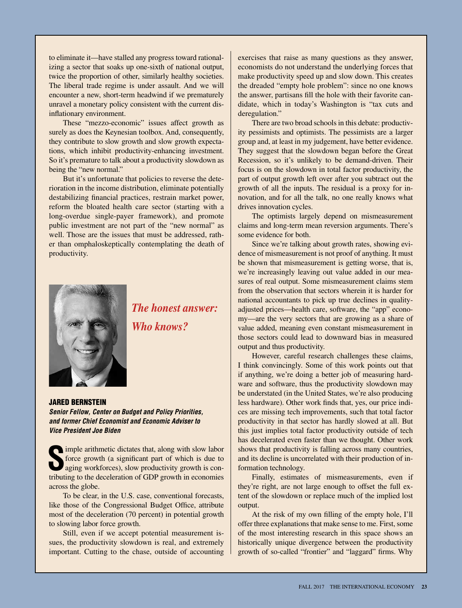to eliminate it—have stalled any progress toward rationalizing a sector that soaks up one-sixth of national output, twice the proportion of other, similarly healthy societies. The liberal trade regime is under assault. And we will encounter a new, short-term headwind if we prematurely unravel a monetary policy consistent with the current disinflationary environment.

These "mezzo-economic" issues affect growth as surely as does the Keynesian toolbox. And, consequently, they contribute to slow growth and slow growth expectations, which inhibit productivity-enhancing investment. So it's premature to talk about a productivity slowdown as being the "new normal."

But it's unfortunate that policies to reverse the deterioration in the income distribution, eliminate potentially destabilizing financial practices, restrain market power, reform the bloated health care sector (starting with a long-overdue single-payer framework), and promote public investment are not part of the "new normal" as well. Those are the issues that must be addressed, rather than omphaloskeptically contemplating the death of productivity.



*The honest answer: Who knows?*

#### Jared Bernstein

*Senior Fellow, Center on Budget and Policy Priorities, and former Chief Economist and Economic Adviser to Vice President Joe Biden*

Solution to the arithmetic dictates that, along with slow labor<br>
force growth (a significant part of which is due to<br>
aging workforces), slow productivity growth is conforce growth (a significant part of which is due to aging workforces), slow productivity growth is contributing to the deceleration of GDP growth in economies across the globe.

To be clear, in the U.S. case, conventional forecasts, like those of the Congressional Budget Office, attribute most of the deceleration (70 percent) in potential growth to slowing labor force growth.

Still, even if we accept potential measurement issues, the productivity slowdown is real, and extremely important. Cutting to the chase, outside of accounting

exercises that raise as many questions as they answer, economists do not understand the underlying forces that make productivity speed up and slow down. This creates the dreaded "empty hole problem": since no one knows the answer, partisans fill the hole with their favorite candidate, which in today's Washington is "tax cuts and deregulation."

There are two broad schools in this debate: productivity pessimists and optimists. The pessimists are a larger group and, at least in my judgement, have better evidence. They suggest that the slowdown began before the Great Recession, so it's unlikely to be demand-driven. Their focus is on the slowdown in total factor productivity, the part of output growth left over after you subtract out the growth of all the inputs. The residual is a proxy for innovation, and for all the talk, no one really knows what drives innovation cycles.

The optimists largely depend on mismeasurement claims and long-term mean reversion arguments. There's some evidence for both.

Since we're talking about growth rates, showing evidence of mismeasurement is not proof of anything. It must be shown that mismeasurement is getting worse, that is, we're increasingly leaving out value added in our measures of real output. Some mismeasurement claims stem from the observation that sectors wherein it is harder for national accountants to pick up true declines in qualityadjusted prices—health care, software, the "app" economy—are the very sectors that are growing as a share of value added, meaning even constant mismeasurement in those sectors could lead to downward bias in measured output and thus productivity.

However, careful research challenges these claims, I think convincingly. Some of this work points out that if anything, we're doing a better job of measuring hardware and software, thus the productivity slowdown may be understated (in the United States, we're also producing less hardware). Other work finds that, yes, our price indices are missing tech improvements, such that total factor productivity in that sector has hardly slowed at all. But this just implies total factor productivity outside of tech has decelerated even faster than we thought. Other work shows that productivity is falling across many countries, and its decline is uncorrelated with their production of information technology.

Finally, estimates of mismeasurements, even if they're right, are not large enough to offset the full extent of the slowdown or replace much of the implied lost output.

At the risk of my own filling of the empty hole, I'll offer three explanations that make sense to me. First, some of the most interesting research in this space shows an historically unique divergence between the productivity growth of so-called "frontier" and "laggard" firms. Why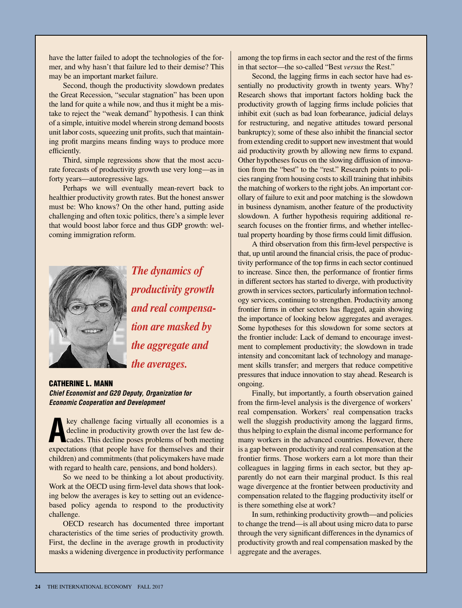have the latter failed to adopt the technologies of the former, and why hasn't that failure led to their demise? This may be an important market failure.

Second, though the productivity slowdown predates the Great Recession, "secular stagnation" has been upon the land for quite a while now, and thus it might be a mistake to reject the "weak demand" hypothesis. I can think of a simple, intuitive model wherein strong demand boosts unit labor costs, squeezing unit profits, such that maintaining profit margins means finding ways to produce more efficiently.

Third, simple regressions show that the most accurate forecasts of productivity growth use very long—as in forty years—autoregressive lags.

Perhaps we will eventually mean-revert back to healthier productivity growth rates. But the honest answer must be: Who knows? On the other hand, putting aside challenging and often toxic politics, there's a simple lever that would boost labor force and thus GDP growth: welcoming immigration reform.



*The dynamics of productivity growth and real compensation are masked by the aggregate and the averages.*

#### Catherine L. Mann *Chief Economist and G20 Deputy, Organization for Economic Cooperation and Development*

**A** key challenge facing virtually all economies is a decline in productivity growth over the last few decades. This decline poses problems of both meeting proposes the state of the meeting decline in productivity growth over the last few deexpectations (that people have for themselves and their children) and commitments (that policymakers have made with regard to health care, pensions, and bond holders).

So we need to be thinking a lot about productivity. Work at the OECD using firm-level data shows that looking below the averages is key to setting out an evidencebased policy agenda to respond to the productivity challenge.

OECD research has documented three important characteristics of the time series of productivity growth. First, the decline in the average growth in productivity masks a widening divergence in productivity performance

among the top firms in each sector and the rest of the firms in that sector—the so-called "Best *versus* the Rest."

Second, the lagging firms in each sector have had essentially no productivity growth in twenty years. Why? Research shows that important factors holding back the productivity growth of lagging firms include policies that inhibit exit (such as bad loan forbearance, judicial delays for restructuring, and negative attitudes toward personal bankruptcy); some of these also inhibit the financial sector from extending credit to support new investment that would aid productivity growth by allowing new firms to expand. Other hypotheses focus on the slowing diffusion of innovation from the "best" to the "rest." Research points to policies ranging from housing costs to skill training that inhibits the matching of workers to the right jobs. An important corollary of failure to exit and poor matching is the slowdown in business dynamism, another feature of the productivity slowdown. A further hypothesis requiring additional research focuses on the frontier firms, and whether intellectual property hoarding by those firms could limit diffusion.

A third observation from this firm-level perspective is that, up until around the financial crisis, the pace of productivity performance of the top firms in each sector continued to increase. Since then, the performance of frontier firms in different sectors has started to diverge, with productivity growth in services sectors, particularly information technology services, continuing to strengthen. Productivity among frontier firms in other sectors has flagged, again showing the importance of looking below aggregates and averages. Some hypotheses for this slowdown for some sectors at the frontier include: Lack of demand to encourage investment to complement productivity; the slowdown in trade intensity and concomitant lack of technology and management skills transfer; and mergers that reduce competitive pressures that induce innovation to stay ahead. Research is ongoing.

Finally, but importantly, a fourth observation gained from the firm-level analysis is the divergence of workers' real compensation. Workers' real compensation tracks well the sluggish productivity among the laggard firms, thus helping to explain the dismal income performance for many workers in the advanced countries. However, there is a gap between productivity and real compensation at the frontier firms. Those workers earn a lot more than their colleagues in lagging firms in each sector, but they apparently do not earn their marginal product. Is this real wage divergence at the frontier between productivity and compensation related to the flagging productivity itself or is there something else at work?

In sum, rethinking productivity growth—and policies to change the trend—is all about using micro data to parse through the very significant differences in the dynamics of productivity growth and real compensation masked by the aggregate and the averages.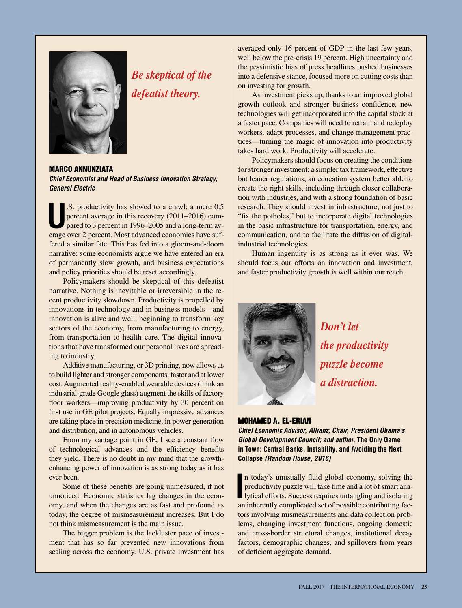

## *Be skeptical of the defeatist theory.*

Marco Annunziata *Chief Economist and Head of Business Innovation Strategy, General Electric*

**U**.S. productivity has slowed to a crawl: a mere 0.5 percent average in this recovery (2011–2016) compared to 3 percent in 1996–2005 and a long-term average sure and **Matter and the state of the state of the state of the** percent average in this recovery (2011–2016) compared to 3 percent in 1996–2005 and a long-term average over 2 percent. Most advanced economies have suffered a similar fate. This has fed into a gloom-and-doom narrative: some economists argue we have entered an era of permanently slow growth, and business expectations and policy priorities should be reset accordingly.

Policymakers should be skeptical of this defeatist narrative. Nothing is inevitable or irreversible in the recent productivity slowdown. Productivity is propelled by innovations in technology and in business models—and innovation is alive and well, beginning to transform key sectors of the economy, from manufacturing to energy, from transportation to health care. The digital innovations that have transformed our personal lives are spreading to industry.

Additive manufacturing, or 3D printing, now allows us to build lighter and stronger components, faster and at lower cost. Augmented reality-enabled wearable devices (think an industrial-grade Google glass) augment the skills of factory floor workers—improving productivity by 30 percent on first use in GE pilot projects. Equally impressive advances are taking place in precision medicine, in power generation and distribution, and in autonomous vehicles.

From my vantage point in GE, I see a constant flow of technological advances and the efficiency benefits they yield. There is no doubt in my mind that the growthenhancing power of innovation is as strong today as it has ever been.

Some of these benefits are going unmeasured, if not unnoticed. Economic statistics lag changes in the economy, and when the changes are as fast and profound as today, the degree of mismeasurement increases. But I do not think mismeasurement is the main issue.

The bigger problem is the lackluster pace of investment that has so far prevented new innovations from scaling across the economy. U.S. private investment has averaged only 16 percent of GDP in the last few years, well below the pre-crisis 19 percent. High uncertainty and the pessimistic bias of press headlines pushed businesses into a defensive stance, focused more on cutting costs than on investing for growth.

As investment picks up, thanks to an improved global growth outlook and stronger business confidence, new technologies will get incorporated into the capital stock at a faster pace. Companies will need to retrain and redeploy workers, adapt processes, and change management practices—turning the magic of innovation into productivity takes hard work. Productivity will accelerate.

Policymakers should focus on creating the conditions for stronger investment: a simpler tax framework, effective but leaner regulations, an education system better able to create the right skills, including through closer collaboration with industries, and with a strong foundation of basic research. They should invest in infrastructure, not just to "fix the potholes," but to incorporate digital technologies in the basic infrastructure for transportation, energy, and communication, and to facilitate the diffusion of digitalindustrial technologies.

Human ingenuity is as strong as it ever was. We should focus our efforts on innovation and investment, and faster productivity growth is well within our reach.



*Don't let the productivity puzzle become a distraction.*

#### Mohamed A. El-Erian

*Chief Economic Advisor, Allianz; Chair, President Obama's Global Development Council; and author,* **The Only Game in Town: Central Banks, Instability, and Avoiding the Next Collapse** *(Random House, 2016)*

In today's unusually fluid global economy, solving the productivity puzzle will take time and a lot of smart analytical efforts. Success requires untangling and isolating in inhannelistic scale and isolating inhannelistic n today's unusually fluid global economy, solving the productivity puzzle will take time and a lot of smart anaan inherently complicated set of possible contributing factors involving mismeasurements and data collection problems, changing investment functions, ongoing domestic and cross-border structural changes, institutional decay factors, demographic changes, and spillovers from years of deficient aggregate demand.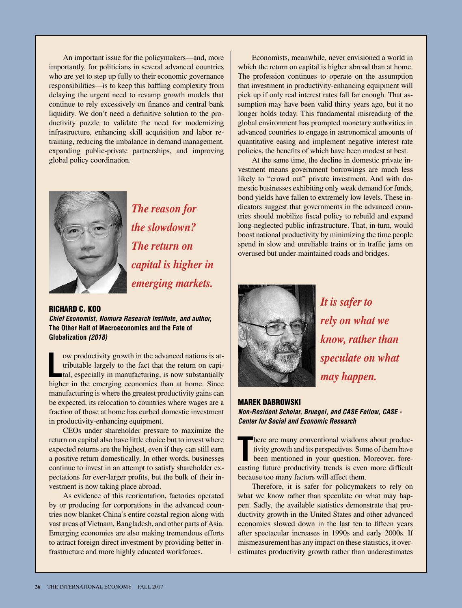An important issue for the policymakers—and, more importantly, for politicians in several advanced countries who are yet to step up fully to their economic governance responsibilities—is to keep this baffling complexity from delaying the urgent need to revamp growth models that continue to rely excessively on finance and central bank liquidity. We don't need a definitive solution to the productivity puzzle to validate the need for modernizing infrastructure, enhancing skill acquisition and labor retraining, reducing the imbalance in demand management, expanding public-private partnerships, and improving global policy coordination.



*The reason for the slowdown? The return on capital is higher in emerging markets.*

Richard C. Koo *Chief Economist, Nomura Research Institute, and author,* **The Other Half of Macroeconomics and the Fate of Globalization** *(2018)*

**L** ow productivity growth in the advanced nations is attributable largely to the fact that the return on capital, especially in manufacturing, is now substantially higher in the emerging economies than at home. Since manufacturing is where the greatest productivity gains can be expected, its relocation to countries where wages are a fraction of those at home has curbed domestic investment in productivity-enhancing equipment.

CEOs under shareholder pressure to maximize the return on capital also have little choice but to invest where expected returns are the highest, even if they can still earn a positive return domestically. In other words, businesses continue to invest in an attempt to satisfy shareholder expectations for ever-larger profits, but the bulk of their investment is now taking place abroad.

As evidence of this reorientation, factories operated by or producing for corporations in the advanced countries now blanket China's entire coastal region along with vast areas of Vietnam, Bangladesh, and other parts of Asia. Emerging economies are also making tremendous efforts to attract foreign direct investment by providing better infrastructure and more highly educated workforces.

Economists, meanwhile, never envisioned a world in which the return on capital is higher abroad than at home. The profession continues to operate on the assumption that investment in productivity-enhancing equipment will pick up if only real interest rates fall far enough. That assumption may have been valid thirty years ago, but it no longer holds today. This fundamental misreading of the global environment has prompted monetary authorities in advanced countries to engage in astronomical amounts of quantitative easing and implement negative interest rate policies, the benefits of which have been modest at best.

At the same time, the decline in domestic private investment means government borrowings are much less likely to "crowd out" private investment. And with domestic businesses exhibiting only weak demand for funds, bond yields have fallen to extremely low levels. These indicators suggest that governments in the advanced countries should mobilize fiscal policy to rebuild and expand long-neglected public infrastructure. That, in turn, would boost national productivity by minimizing the time people spend in slow and unreliable trains or in traffic jams on overused but under-maintained roads and bridges.



*It is safer to rely on what we know, rather than speculate on what may happen.*

#### MAREK DABROWSKI

*Non-Resident Scholar, Bruegel, and CASE Fellow, CASE - Center for Social and Economic Research*

There are many conventional wisdoms about productivity growth and its perspectives. Some of them have been mentioned in your question. Moreover, forecasting future productivity trends is even more difficult here are many conventional wisdoms about productivity growth and its perspectives. Some of them have been mentioned in your question. Moreover, forebecause too many factors will affect them.

Therefore, it is safer for policymakers to rely on what we know rather than speculate on what may happen. Sadly, the available statistics demonstrate that productivity growth in the United States and other advanced economies slowed down in the last ten to fifteen years after spectacular increases in 1990s and early 2000s. If mismeasurement has any impact on these statistics, it overestimates productivity growth rather than underestimates